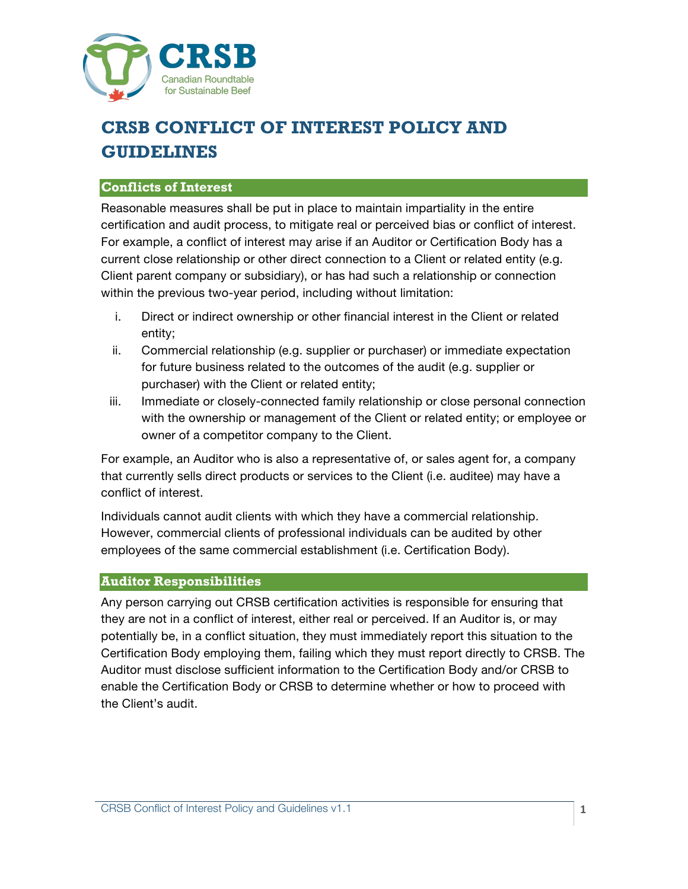

# **CRSB CONFLICT OF INTEREST POLICY AND GUIDELINES**

# **Conflicts of Interest**

Reasonable measures shall be put in place to maintain impartiality in the entire certification and audit process, to mitigate real or perceived bias or conflict of interest. For example, a conflict of interest may arise if an Auditor or Certification Body has a current close relationship or other direct connection to a Client or related entity (e.g. Client parent company or subsidiary), or has had such a relationship or connection within the previous two-year period, including without limitation:

- i. Direct or indirect ownership or other financial interest in the Client or related entity;
- ii. Commercial relationship (e.g. supplier or purchaser) or immediate expectation for future business related to the outcomes of the audit (e.g. supplier or purchaser) with the Client or related entity;
- iii. Immediate or closely-connected family relationship or close personal connection with the ownership or management of the Client or related entity; or employee or owner of a competitor company to the Client.

For example, an Auditor who is also a representative of, or sales agent for, a company that currently sells direct products or services to the Client (i.e. auditee) may have a conflict of interest.

Individuals cannot audit clients with which they have a commercial relationship. However, commercial clients of professional individuals can be audited by other employees of the same commercial establishment (i.e. Certification Body).

### **Auditor Responsibilities**

Any person carrying out CRSB certification activities is responsible for ensuring that they are not in a conflict of interest, either real or perceived. If an Auditor is, or may potentially be, in a conflict situation, they must immediately report this situation to the Certification Body employing them, failing which they must report directly to CRSB. The Auditor must disclose sufficient information to the Certification Body and/or CRSB to enable the Certification Body or CRSB to determine whether or how to proceed with the Client's audit.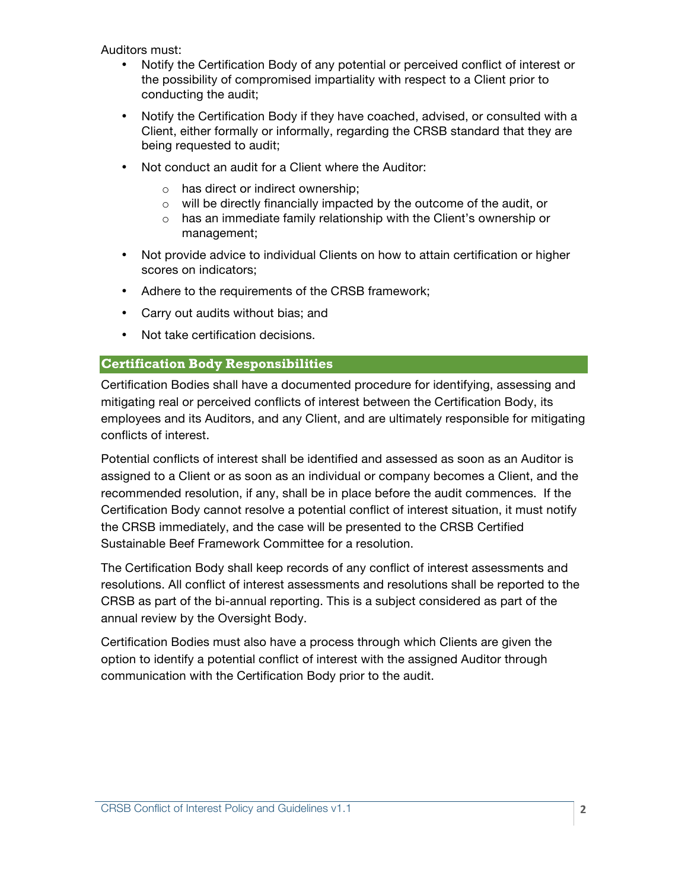Auditors must:

- Notify the Certification Body of any potential or perceived conflict of interest or the possibility of compromised impartiality with respect to a Client prior to conducting the audit;
- Notify the Certification Body if they have coached, advised, or consulted with a Client, either formally or informally, regarding the CRSB standard that they are being requested to audit;
- Not conduct an audit for a Client where the Auditor:
	- o has direct or indirect ownership;
	- o will be directly financially impacted by the outcome of the audit, or
	- o has an immediate family relationship with the Client's ownership or management;
- Not provide advice to individual Clients on how to attain certification or higher scores on indicators;
- Adhere to the requirements of the CRSB framework;
- Carry out audits without bias; and
- Not take certification decisions.

# **Certification Body Responsibilities**

Certification Bodies shall have a documented procedure for identifying, assessing and mitigating real or perceived conflicts of interest between the Certification Body, its employees and its Auditors, and any Client, and are ultimately responsible for mitigating conflicts of interest.

Potential conflicts of interest shall be identified and assessed as soon as an Auditor is assigned to a Client or as soon as an individual or company becomes a Client, and the recommended resolution, if any, shall be in place before the audit commences. If the Certification Body cannot resolve a potential conflict of interest situation, it must notify the CRSB immediately, and the case will be presented to the CRSB Certified Sustainable Beef Framework Committee for a resolution.

The Certification Body shall keep records of any conflict of interest assessments and resolutions. All conflict of interest assessments and resolutions shall be reported to the CRSB as part of the bi-annual reporting. This is a subject considered as part of the annual review by the Oversight Body.

Certification Bodies must also have a process through which Clients are given the option to identify a potential conflict of interest with the assigned Auditor through communication with the Certification Body prior to the audit.